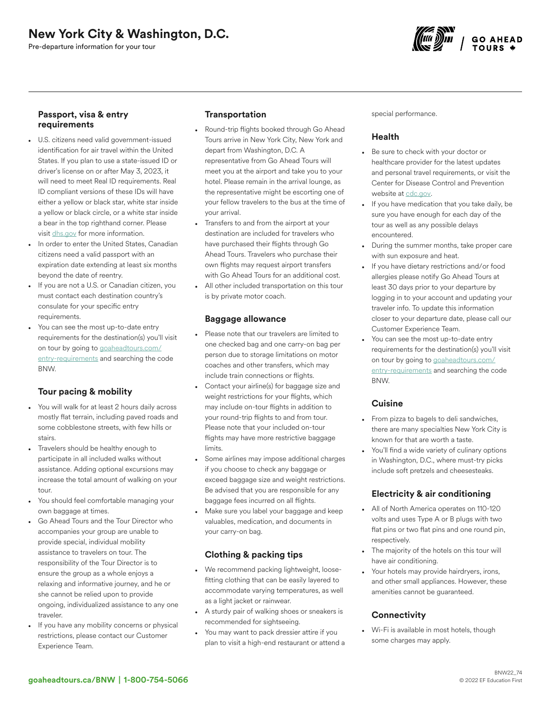Pre-departure information for your tour



## Passport, visa & entry requirements

- U.S. citizens need valid government-issued identification for air travel within the United States. If you plan to use a state-issued ID or driver's license on or after May 3, 2023, it will need to meet Real ID requirements. Real ID compliant versions of these IDs will have either a yellow or black star, white star inside a yellow or black circle, or a white star inside a bear in the top righthand corner. Please visit [dhs.gov](https://www.dhs.gov/real-id-frequently-asked-questions) for more information.
- In order to enter the United States, Canadian citizens need a valid passport with an expiration date extending at least six months beyond the date of reentry.
- If you are not a U.S. or Canadian citizen, you must contact each destination country's consulate for your specific entry requirements.
- You can see the most up-to-date entry requirements for the destination(s) you'll visit on tour by going to [goaheadtours.com/](/entry-requirements?tourCode=BNW) [entry-requirements](/entry-requirements?tourCode=BNW) and searching the code BNW.

# Tour pacing & mobility

- You will walk for at least 2 hours daily across mostly flat terrain, including paved roads and some cobblestone streets, with few hills or stairs.
- Travelers should be healthy enough to participate in all included walks without assistance. Adding optional excursions may increase the total amount of walking on your tour.
- You should feel comfortable managing your own baggage at times.
- Go Ahead Tours and the Tour Director who accompanies your group are unable to provide special, individual mobility assistance to travelers on tour. The responsibility of the Tour Director is to ensure the group as a whole enjoys a relaxing and informative journey, and he or she cannot be relied upon to provide ongoing, individualized assistance to any one traveler.
- If you have any mobility concerns or physical restrictions, please contact our Customer Experience Team.

# **Transportation**

- Round-trip flights booked through Go Ahead Tours arrive in New York City, New York and depart from Washington, D.C. A representative from Go Ahead Tours will meet you at the airport and take you to your hotel. Please remain in the arrival lounge, as the representative might be escorting one of your fellow travelers to the bus at the time of your arrival.
- Transfers to and from the airport at your destination are included for travelers who have purchased their flights through Go Ahead Tours. Travelers who purchase their own flights may request airport transfers with Go Ahead Tours for an additional cost.
- All other included transportation on this tour is by private motor coach.

#### Baggage allowance

- Please note that our travelers are limited to one checked bag and one carry-on bag per person due to storage limitations on motor coaches and other transfers, which may include train connections or flights.
- Contact your airline(s) for baggage size and weight restrictions for your flights, which may include on-tour flights in addition to your round-trip flights to and from tour. Please note that your included on-tour flights may have more restrictive baggage limits.
- Some airlines may impose additional charges if you choose to check any baggage or exceed baggage size and weight restrictions. Be advised that you are responsible for any baggage fees incurred on all flights.
- Make sure you label your baggage and keep valuables, medication, and documents in your carry-on bag.

# Clothing & packing tips

- We recommend packing lightweight, loosefitting clothing that can be easily layered to accommodate varying temperatures, as well as a light jacket or rainwear.
- A sturdy pair of walking shoes or sneakers is recommended for sightseeing.
- You may want to pack dressier attire if you plan to visit a high-end restaurant or attend a

special performance.

# Health

- Be sure to check with your doctor or healthcare provider for the latest updates and personal travel requirements, or visit the Center for Disease Control and Prevention website at [cdc.gov.](https://www.cdc.gov/)
- If you have medication that you take daily, be sure you have enough for each day of the tour as well as any possible delays encountered.
- During the summer months, take proper care with sun exposure and heat.
- If you have dietary restrictions and/or food allergies please notify Go Ahead Tours at least 30 days prior to your departure by logging in to your account and updating your traveler info. To update this information closer to your departure date, please call our Customer Experience Team.
- You can see the most up-to-date entry requirements for the destination(s) you'll visit on tour by going to [goaheadtours.com/](/entry-requirements?tourCode=BNW) [entry-requirements](/entry-requirements?tourCode=BNW) and searching the code BNW.

#### **Cuisine**

- From pizza to bagels to deli sandwiches, there are many specialties New York City is known for that are worth a taste.
- You'll find a wide variety of culinary options in Washington, D.C., where must-try picks include soft pretzels and cheesesteaks.

## Electricity & air conditioning

- All of North America operates on 110-120 volts and uses Type A or B plugs with two flat pins or two flat pins and one round pin, respectively.
- The majority of the hotels on this tour will have air conditioning.
- Your hotels may provide hairdryers, irons, and other small appliances. However, these amenities cannot be guaranteed.

# **Connectivity**

• Wi-Fi is available in most hotels, though some charges may apply.